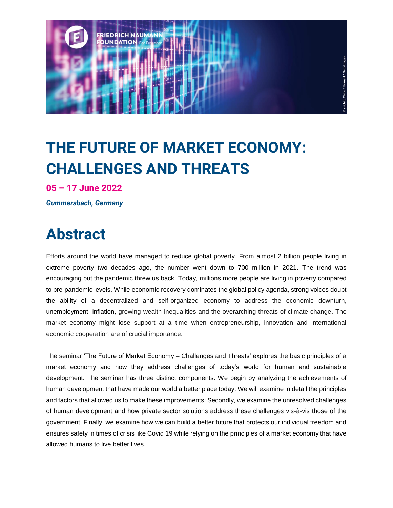

# **THE FUTURE OF MARKET ECONOMY: CHALLENGES AND THREATS**

**05 – 17 June 2022**

*Gummersbach, Germany*

## **Abstract**

Efforts around the world have managed to reduce global poverty. From almost 2 billion people living in extreme poverty two decades ago, the number went down to 700 million in 2021. The trend was encouraging but the pandemic threw us back. Today, millions more people are living in poverty compared to pre-pandemic levels. While economic recovery dominates the global policy agenda, strong voices doubt the ability of a decentralized and self-organized economy to address the economic downturn, unemployment, inflation, growing wealth inequalities and the overarching threats of climate change. The market economy might lose support at a time when entrepreneurship, innovation and international economic cooperation are of crucial importance.

The seminar 'The Future of Market Economy – Challenges and Threats' explores the basic principles of a market economy and how they address challenges of today's world for human and sustainable development. The seminar has three distinct components: We begin by analyzing the achievements of human development that have made our world a better place today. We will examine in detail the principles and factors that allowed us to make these improvements; Secondly, we examine the unresolved challenges of human development and how private sector solutions address these challenges vis-à-vis those of the government; Finally, we examine how we can build a better future that protects our individual freedom and ensures safety in times of crisis like Covid 19 while relying on the principles of a market economy that have allowed humans to live better lives.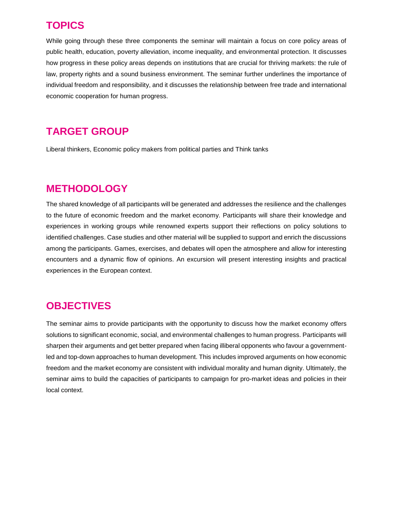#### **TOPICS**

While going through these three components the seminar will maintain a focus on core policy areas of public health, education, poverty alleviation, income inequality, and environmental protection. It discusses how progress in these policy areas depends on institutions that are crucial for thriving markets: the rule of law, property rights and a sound business environment. The seminar further underlines the importance of individual freedom and responsibility, and it discusses the relationship between free trade and international economic cooperation for human progress.

### **TARGET GROUP**

Liberal thinkers, Economic policy makers from political parties and Think tanks

### **METHODOLOGY**

The shared knowledge of all participants will be generated and addresses the resilience and the challenges to the future of economic freedom and the market economy. Participants will share their knowledge and experiences in working groups while renowned experts support their reflections on policy solutions to identified challenges. Case studies and other material will be supplied to support and enrich the discussions among the participants. Games, exercises, and debates will open the atmosphere and allow for interesting encounters and a dynamic flow of opinions. An excursion will present interesting insights and practical experiences in the European context.

#### **OBJECTIVES**

The seminar aims to provide participants with the opportunity to discuss how the market economy offers solutions to significant economic, social, and environmental challenges to human progress. Participants will sharpen their arguments and get better prepared when facing illiberal opponents who favour a governmentled and top-down approaches to human development. This includes improved arguments on how economic freedom and the market economy are consistent with individual morality and human dignity. Ultimately, the seminar aims to build the capacities of participants to campaign for pro-market ideas and policies in their local context.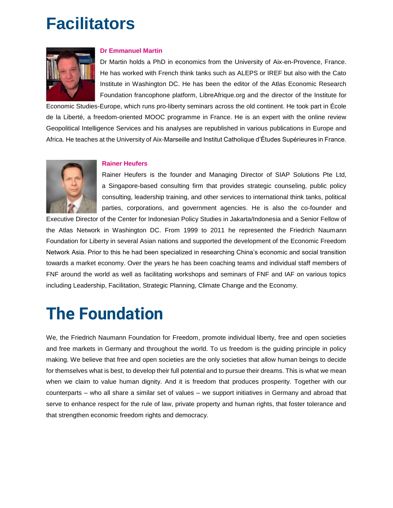# **Facilitators**



#### **Dr Emmanuel Martin**

Dr Martin holds a PhD in economics from the University of Aix-en-Provence, France. He has worked with French think tanks such as ALEPS or IREF but also with the Cato Institute in Washington DC. He has been the editor of the Atlas Economic Research Foundation francophone platform, LibreAfrique.org and the director of the Institute for

Economic Studies-Europe, which runs pro-liberty seminars across the old continent. He took part in École de la Liberté, a freedom-oriented MOOC programme in France. He is an expert with the online review Geopolitical Intelligence Services and his analyses are republished in various publications in Europe and Africa. He teaches at the University of Aix-Marseille and Institut Catholique d'Études Supérieures in France.



#### **Rainer Heufers**

Rainer Heufers is the founder and Managing Director of SIAP Solutions Pte Ltd, a Singapore-based consulting firm that provides strategic counseling, public policy consulting, leadership training, and other services to international think tanks, political parties, corporations, and government agencies. He is also the co-founder and

Executive Director of the Center for Indonesian Policy Studies in Jakarta/Indonesia and a Senior Fellow of the Atlas Network in Washington DC. From 1999 to 2011 he represented the Friedrich Naumann Foundation for Liberty in several Asian nations and supported the development of the Economic Freedom Network Asia. Prior to this he had been specialized in researching China's economic and social transition towards a market economy. Over the years he has been coaching teams and individual staff members of FNF around the world as well as facilitating workshops and seminars of FNF and IAF on various topics including Leadership, Facilitation, Strategic Planning, Climate Change and the Economy.

## **The Foundation**

We, the Friedrich Naumann Foundation for Freedom, promote individual liberty, free and open societies and free markets in Germany and throughout the world. To us freedom is the guiding principle in policy making. We believe that free and open societies are the only societies that allow human beings to decide for themselves what is best, to develop their full potential and to pursue their dreams. This is what we mean when we claim to value human dignity. And it is freedom that produces prosperity. Together with our counterparts – who all share a similar set of values – we support initiatives in Germany and abroad that serve to enhance respect for the rule of law, private property and human rights, that foster tolerance and that strengthen economic freedom rights and democracy.